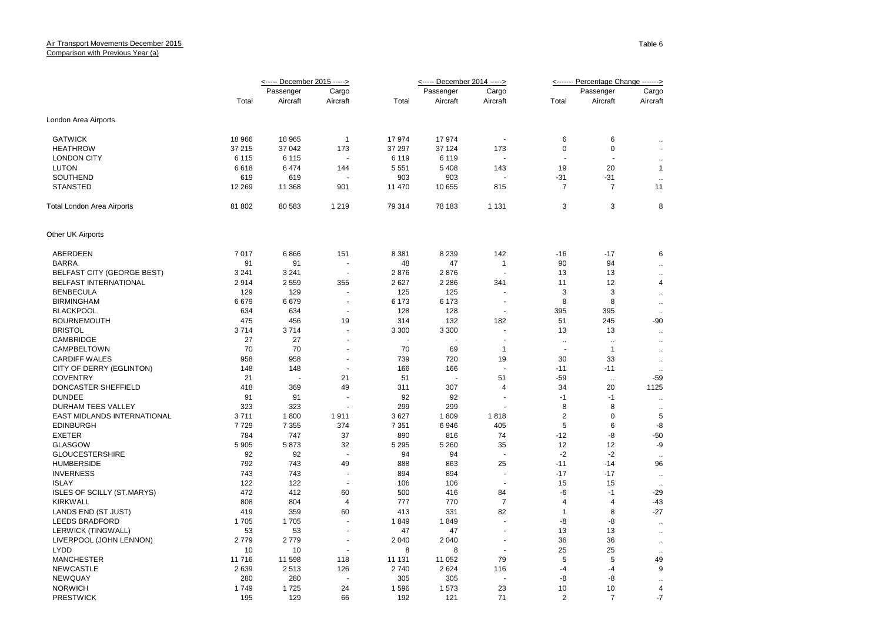|                                   | <----- December 2015 -----> |           |                          |         | <----- December 2014 -----> |                      | <------- Percentage Change -------> |                           |                      |
|-----------------------------------|-----------------------------|-----------|--------------------------|---------|-----------------------------|----------------------|-------------------------------------|---------------------------|----------------------|
|                                   |                             | Passenger | Cargo                    |         | Passenger                   | Cargo                |                                     | Passenger                 | Cargo                |
|                                   | Total                       | Aircraft  | Aircraft                 | Total   | Aircraft                    | Aircraft             | Total                               | Aircraft                  | Aircraft             |
| London Area Airports              |                             |           |                          |         |                             |                      |                                     |                           |                      |
| <b>GATWICK</b>                    | 18 966                      | 18 965    | $\overline{1}$           | 17974   | 17974                       | ÷.                   | 6                                   | 6                         | $\ldots$             |
| <b>HEATHROW</b>                   | 37 215                      | 37 042    | 173                      | 37 297  | 37 124                      | 173                  | 0                                   | $\mathbf 0$               | $\blacksquare$       |
| <b>LONDON CITY</b>                | 6 1 1 5                     | 6 1 1 5   |                          | 6 1 1 9 | 6 1 1 9                     |                      | $\overline{a}$                      |                           | $\ddot{\phantom{1}}$ |
| LUTON                             | 6618                        | 6474      | 144                      | 5 5 5 1 | 5 4 0 8                     | 143                  | 19                                  | 20                        | $\overline{1}$       |
| SOUTHEND                          | 619                         | 619       |                          | 903     | 903                         |                      | $-31$                               | $-31$                     | $\sim$               |
| <b>STANSTED</b>                   | 12 269                      | 11 368    | 901                      | 11 470  | 10 655                      | 815                  | 7                                   | 7                         | 11                   |
| Total London Area Airports        | 81 802                      | 80 583    | 1 2 1 9                  | 79 314  | 78 183                      | 1 1 3 1              | 3                                   | 3                         | 8                    |
| Other UK Airports                 |                             |           |                          |         |                             |                      |                                     |                           |                      |
| ABERDEEN                          | 7017                        | 6866      | 151                      | 8 3 8 1 | 8 2 3 9                     | 142                  | $-16$                               | $-17$                     | 6                    |
| <b>BARRA</b>                      | 91                          | 91        | $\sim$                   | 48      | 47                          | $\mathbf{1}$         | 90                                  | 94                        | $\ddot{\phantom{a}}$ |
| <b>BELFAST CITY (GEORGE BEST)</b> | 3 2 4 1                     | 3 2 4 1   |                          | 2876    | 2876                        |                      | 13                                  | 13                        | $\sim$               |
| BELFAST INTERNATIONAL             | 2914                        | 2559      | 355                      | 2627    | 2 2 8 6                     | 341                  | 11                                  | 12                        | $\overline{4}$       |
| <b>BENBECULA</b>                  | 129                         | 129       |                          | 125     | 125                         |                      | 3                                   | 3                         |                      |
| <b>BIRMINGHAM</b>                 | 6679                        | 6679      | $\sim$                   | 6 1 7 3 | 6 173                       | $\ddot{\phantom{1}}$ | 8                                   | 8                         | $\ldots$             |
| <b>BLACKPOOL</b>                  | 634                         | 634       |                          | 128     | 128                         | ÷,                   | 395                                 | 395                       | $\sim$               |
| <b>BOURNEMOUTH</b>                | 475                         | 456       | 19                       | 314     | 132                         | 182                  | 51                                  | 245                       | $\ddotsc$<br>$-90$   |
| <b>BRISTOL</b>                    | 3714                        | 3714      |                          | 3 3 0 0 | 3 3 0 0                     |                      |                                     | 13                        |                      |
| CAMBRIDGE                         | 27                          | 27        | $\sim$                   | $\sim$  |                             | $\blacksquare$       | 13                                  |                           | $\ldots$             |
|                                   | 70                          | 70        |                          |         |                             | $\overline{1}$       | $\ddotsc$                           | $\cdot$ .<br>$\mathbf{1}$ | $\ldots$             |
| CAMPBELTOWN                       |                             |           |                          | 70      | 69                          |                      | ÷,                                  |                           | $\ldots$             |
| <b>CARDIFF WALES</b>              | 958                         | 958       |                          | 739     | 720                         | 19                   | 30                                  | 33                        | $\ldots$             |
| CITY OF DERRY (EGLINTON)          | 148                         | 148<br>L. |                          | 166     | 166                         |                      | $-11$                               | $-11$                     | $\ldots$             |
| <b>COVENTRY</b>                   | 21                          |           | 21                       | 51      | $\sim$                      | 51                   | $-59$                               | $\ddotsc$                 | $-59$                |
| DONCASTER SHEFFIELD               | 418                         | 369       | 49                       | 311     | 307                         | 4                    | 34                                  | 20                        | 1125                 |
| <b>DUNDEE</b>                     | 91                          | 91        |                          | 92      | 92                          |                      | $-1$                                | $-1$                      | $\cdots$             |
| DURHAM TEES VALLEY                | 323                         | 323       |                          | 299     | 299                         |                      | 8                                   | 8                         | $\ldots$             |
| EAST MIDLANDS INTERNATIONAL       | 3711                        | 1800      | 1911                     | 3627    | 1809                        | 1818                 | $\overline{2}$                      | $\Omega$                  | 5                    |
| <b>EDINBURGH</b>                  | 7729                        | 7 3 5 5   | 374                      | 7 3 5 1 | 6946                        | 405                  | 5                                   | 6                         | -8                   |
| <b>EXETER</b>                     | 784                         | 747       | 37                       | 890     | 816                         | 74                   | $-12$                               | -8                        | $-50$                |
| <b>GLASGOW</b>                    | 5 9 0 5                     | 5873      | 32                       | 5 2 9 5 | 5 2 6 0                     | 35                   | 12                                  | 12                        | -9                   |
| <b>GLOUCESTERSHIRE</b>            | 92                          | 92        | $\overline{\phantom{a}}$ | 94      | 94                          |                      | $-2$                                | $-2$                      | $\ldots$             |
| <b>HUMBERSIDE</b>                 | 792                         | 743       | 49                       | 888     | 863                         | 25                   | $-11$                               | $-14$                     | 96                   |
| <b>INVERNESS</b>                  | 743                         | 743       | $\sim$                   | 894     | 894                         | ÷,                   | $-17$                               | $-17$                     | $\sim$               |
| <b>ISLAY</b>                      | 122                         | 122       |                          | 106     | 106                         |                      | 15                                  | 15                        |                      |
| <b>ISLES OF SCILLY (ST.MARYS)</b> | 472                         | 412       | 60                       | 500     | 416                         | 84                   | -6                                  | $-1$                      | $-29$                |
| <b>KIRKWALL</b>                   | 808                         | 804       | 4                        | 777     | 770                         | 7                    | 4                                   | 4                         | -43                  |
| LANDS END (ST JUST)               | 419                         | 359       | 60                       | 413     | 331                         | 82                   | $\mathbf{1}$                        | 8                         | $-27$                |
| <b>LEEDS BRADFORD</b>             | 1705                        | 1705      |                          | 1849    | 1849                        | ÷,                   | -8                                  | -8                        | $\ddotsc$            |
| LERWICK (TINGWALL)                | 53                          | 53        | ÷.                       | 47      | 47                          | ÷.                   | 13                                  | 13                        | $\ldots$             |
| LIVERPOOL (JOHN LENNON)           | 2779                        | 2779      |                          | 2 0 4 0 | 2 0 4 0                     | ÷,                   | 36                                  | 36                        | $\ddot{\phantom{1}}$ |
| <b>LYDD</b>                       | 10                          | 10        | ÷.                       | 8       | 8                           | ÷.                   | 25                                  | 25                        | $\ddotsc$            |
| <b>MANCHESTER</b>                 | 11 716                      | 11 598    | 118                      | 11 131  | 11 052                      | 79                   | 5                                   | 5                         | 49                   |
| <b>NEWCASTLE</b>                  | 2639                        | 2513      | 126                      | 2740    | 2624                        | 116                  | $-4$                                | $-4$                      | 9                    |
| <b>NEWQUAY</b>                    | 280                         | 280       |                          | 305     | 305                         |                      | -8                                  | -8                        | $\ddot{\phantom{1}}$ |
| <b>NORWICH</b>                    | 1749                        | 1725      | 24                       | 1596    | 1573                        | 23                   | 10                                  | 10                        | $\overline{4}$       |
| <b>PRESTWICK</b>                  | 195                         | 129       | 66                       | 192     | 121                         | 71                   | $\overline{2}$                      | $\overline{7}$            | $-7$                 |